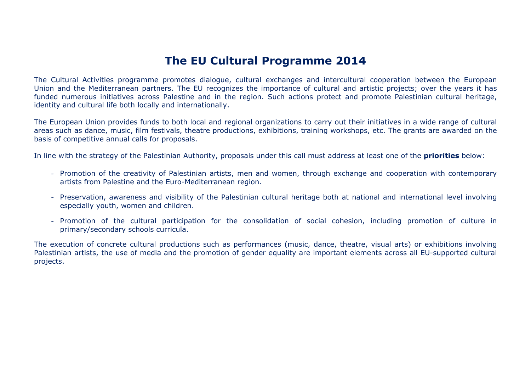## **The EU Cultural Programme 2014**

The Cultural Activities programme promotes dialogue, cultural exchanges and intercultural cooperation between the European Union and the Mediterranean partners. The EU recognizes the importance of cultural and artistic projects; over the years it has funded numerous initiatives across Palestine and in the region. Such actions protect and promote Palestinian cultural heritage, identity and cultural life both locally and internationally.

The European Union provides funds to both local and regional organizations to carry out their initiatives in a wide range of cultural areas such as dance, music, film festivals, theatre productions, exhibitions, training workshops, etc. The grants are awarded on the basis of competitive annual calls for proposals.

In line with the strategy of the Palestinian Authority, proposals under this call must address at least one of the **priorities** below:

- Promotion of the creativity of Palestinian artists, men and women, through exchange and cooperation with contemporary artists from Palestine and the Euro-Mediterranean region.
- Preservation, awareness and visibility of the Palestinian cultural heritage both at national and international level involving especially youth, women and children.
- Promotion of the cultural participation for the consolidation of social cohesion, including promotion of culture in primary/secondary schools curricula.

The execution of concrete cultural productions such as performances (music, dance, theatre, visual arts) or exhibitions involving Palestinian artists, the use of media and the promotion of gender equality are important elements across all EU-supported cultural projects.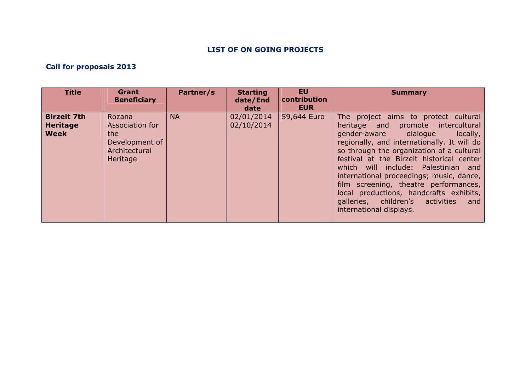## **LIST OF ON GOING PROJECTS**

## **Call for proposals 2013**

| <b>Title</b>                                         | Grant<br><b>Beneficiary</b>                                                     | Partner/s | <b>Starting</b><br>date/End<br>date | <b>EU</b><br>contribution<br><b>EUR</b> | <b>Summary</b>                                                                                                                                                                                                                                                                                                                                                                                                                                                                                           |
|------------------------------------------------------|---------------------------------------------------------------------------------|-----------|-------------------------------------|-----------------------------------------|----------------------------------------------------------------------------------------------------------------------------------------------------------------------------------------------------------------------------------------------------------------------------------------------------------------------------------------------------------------------------------------------------------------------------------------------------------------------------------------------------------|
| <b>Birzeit 7th</b><br><b>Heritage</b><br><b>Week</b> | Rozana<br>Association for<br>the<br>Development of<br>Architectural<br>Heritage | <b>NA</b> | 02/01/2014<br>02/10/2014            | 59,644 Euro                             | The project aims to protect cultural<br>heritage and promote intercultural<br>gender-aware dialogue<br>locally,<br>regionally, and internationally. It will do<br>so through the organization of a cultural<br>festival at the Birzeit historical center<br>which will include: Palestinian and<br>international proceedings; music, dance,<br>film screening, theatre performances,<br>local productions, handcrafts exhibits,<br>galleries, children's<br>activities<br>and<br>international displays. |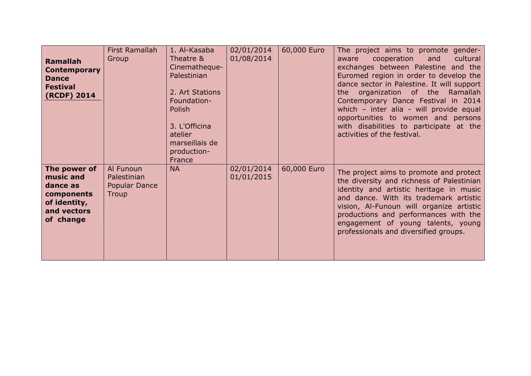| <b>Ramallah</b><br><b>Contemporary</b><br><b>Dance</b><br><b>Festival</b><br>(RCDF) 2014        | First Ramallah<br>Group                                   | 1. Al-Kasaba<br>Theatre &<br>Cinematheque-<br>Palestinian<br>2. Art Stations<br>Foundation-<br>Polish<br>3. L'Officina<br>atelier<br>marseillais de<br>production-<br>France | 02/01/2014<br>01/08/2014 | 60,000 Euro | The project aims to promote gender-<br>cultural<br>cooperation and<br>aware<br>exchanges between Palestine and the<br>Euromed region in order to develop the<br>dance sector in Palestine. It will support<br>organization of the Ramallah<br>the the the state of the state of the state of the state of the state of the state in the state of the state in the state in the state in the state in the state in the state in the state in the state in the state in the st<br>Contemporary Dance Festival in 2014<br>which - inter alia - will provide equal<br>opportunities to women and persons<br>with disabilities to participate at the<br>activities of the festival. |
|-------------------------------------------------------------------------------------------------|-----------------------------------------------------------|------------------------------------------------------------------------------------------------------------------------------------------------------------------------------|--------------------------|-------------|--------------------------------------------------------------------------------------------------------------------------------------------------------------------------------------------------------------------------------------------------------------------------------------------------------------------------------------------------------------------------------------------------------------------------------------------------------------------------------------------------------------------------------------------------------------------------------------------------------------------------------------------------------------------------------|
| The power of<br>music and<br>dance as<br>components<br>of identity,<br>and vectors<br>of change | Al Funoun<br>Palestinian<br><b>Popular Dance</b><br>Troup | <b>NA</b>                                                                                                                                                                    | 02/01/2014<br>01/01/2015 | 60,000 Euro | The project aims to promote and protect<br>the diversity and richness of Palestinian<br>identity and artistic heritage in music<br>and dance. With its trademark artistic<br>vision, Al-Funoun will organize artistic<br>productions and performances with the<br>engagement of young talents, young<br>professionals and diversified groups.                                                                                                                                                                                                                                                                                                                                  |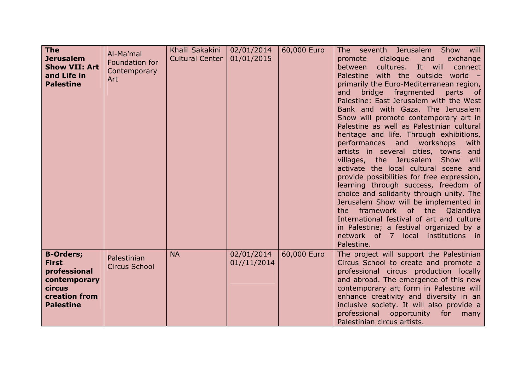| <b>The</b><br><b>Jerusalem</b><br><b>Show VII: Art</b><br>and Life in<br><b>Palestine</b>                              | Al-Ma'mal<br>Foundation for<br>Contemporary<br>Art | Khalil Sakakini<br><b>Cultural Center</b> | 02/01/2014<br>01/01/2015  | 60,000 Euro | The seventh Jerusalem<br>Show will<br>dialogue<br>promote<br>and<br>exchange<br>cultures. It will<br>between<br>connect<br>Palestine with the outside world<br>primarily the Euro-Mediterranean region,<br>bridge fragmented<br>and<br>parts<br>$\overline{\phantom{a}}$ of<br>Palestine: East Jerusalem with the West<br>Bank and with Gaza. The Jerusalem<br>Show will promote contemporary art in<br>Palestine as well as Palestinian cultural<br>heritage and life. Through exhibitions,<br>performances and workshops<br>with<br>artists in several cities, towns<br>and<br>villages, the Jerusalem<br>Show<br>will<br>activate the local cultural scene and<br>provide possibilities for free expression,<br>learning through success, freedom of<br>choice and solidarity through unity. The<br>Jerusalem Show will be implemented in<br>framework of the Qalandiya<br>the<br>International festival of art and culture<br>in Palestine; a festival organized by a<br>network of 7 local institutions in<br>Palestine. |
|------------------------------------------------------------------------------------------------------------------------|----------------------------------------------------|-------------------------------------------|---------------------------|-------------|-------------------------------------------------------------------------------------------------------------------------------------------------------------------------------------------------------------------------------------------------------------------------------------------------------------------------------------------------------------------------------------------------------------------------------------------------------------------------------------------------------------------------------------------------------------------------------------------------------------------------------------------------------------------------------------------------------------------------------------------------------------------------------------------------------------------------------------------------------------------------------------------------------------------------------------------------------------------------------------------------------------------------------|
| <b>B-Orders;</b><br><b>First</b><br>professional<br>contemporary<br>circus<br><b>creation from</b><br><b>Palestine</b> | Palestinian<br><b>Circus School</b>                | <b>NA</b>                                 | 02/01/2014<br>01//11/2014 | 60,000 Euro | The project will support the Palestinian<br>Circus School to create and promote a<br>professional circus production locally<br>and abroad. The emergence of this new<br>contemporary art form in Palestine will<br>enhance creativity and diversity in an<br>inclusive society. It will also provide a<br>professional<br>opportunity<br>for<br>many<br>Palestinian circus artists.                                                                                                                                                                                                                                                                                                                                                                                                                                                                                                                                                                                                                                           |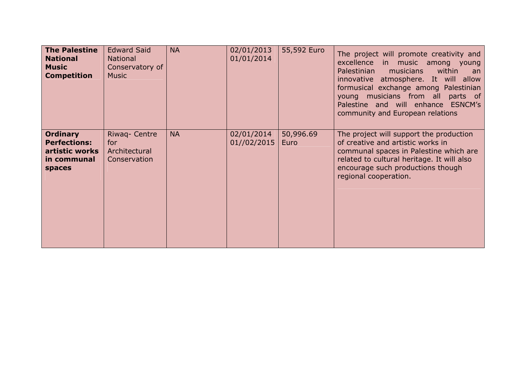| <b>The Palestine</b><br><b>National</b><br><b>Music</b><br><b>Competition</b>     | <b>Edward Said</b><br><b>National</b><br>Conservatory of<br><b>Music</b> | <b>NA</b> | 02/01/2013<br>01/01/2014  | 55,592 Euro       | The project will promote creativity and<br>excellence in music among young<br>within<br>Palestinian<br>musicians<br>an<br>innovative atmosphere. It will allow<br>formusical exchange among Palestinian<br>young musicians from all parts of<br>Palestine and will enhance ESNCM's<br>community and European relations |
|-----------------------------------------------------------------------------------|--------------------------------------------------------------------------|-----------|---------------------------|-------------------|------------------------------------------------------------------------------------------------------------------------------------------------------------------------------------------------------------------------------------------------------------------------------------------------------------------------|
| <b>Ordinary</b><br><b>Perfections:</b><br>artistic works<br>in communal<br>spaces | Riwaq- Centre<br>for<br>Architectural<br>Conservation                    | <b>NA</b> | 02/01/2014<br>01//02/2015 | 50,996.69<br>Euro | The project will support the production<br>of creative and artistic works in<br>communal spaces in Palestine which are<br>related to cultural heritage. It will also<br>encourage such productions though<br>regional cooperation.                                                                                     |